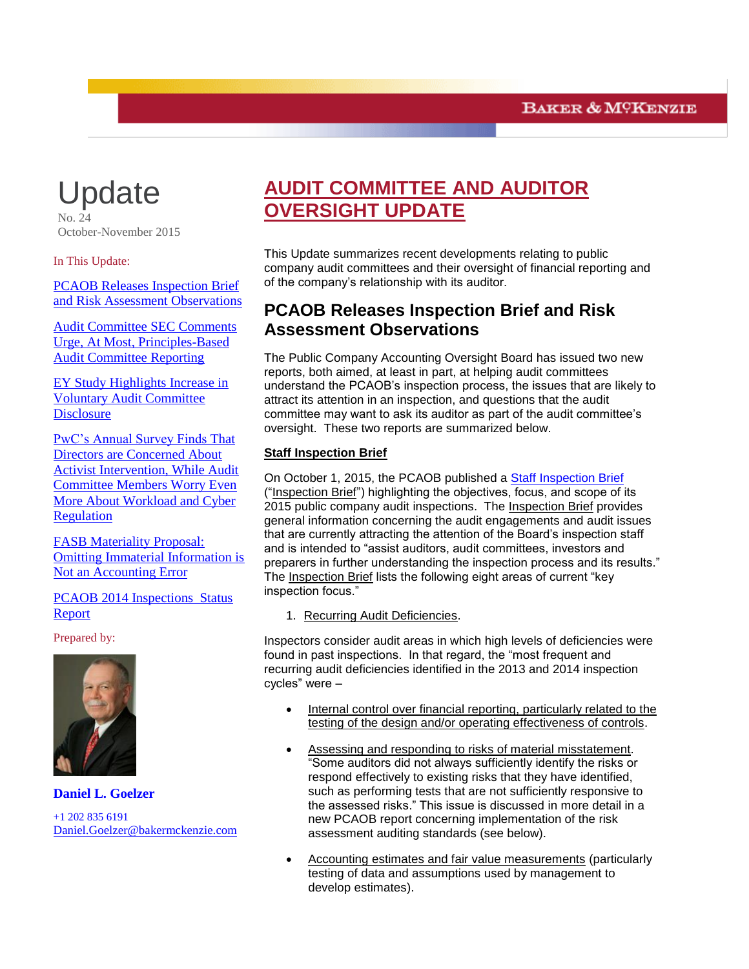# **Update**

 $N_{\Omega}$   $\Omega$ October-November 2015

In This Update:

[PCAOB Releases Inspection Brief](#page-0-0)  [and Risk Assessment Observations](#page-0-0)

<span id="page-0-0"></span>[Audit Committee SEC Comments](#page-3-0)  [Urge, At Most, Principles-Based](#page-3-0)  [Audit Committee Reporting](#page-3-0)

[EY Study Highlights Increase in](#page-6-0)  [Voluntary Audit Committee](#page-6-0)  **[Disclosure](#page-6-0)** 

[PwC's Annual Survey Finds](#page-7-0) That [Directors are Concerned About](#page-7-0)  [Activist Intervention, While Audit](#page-7-0)  [Committee Members Worry Even](#page-7-0)  [More About Workload and Cyber](#page-7-0)  [Regulation](#page-7-0)

[FASB Materiality Proposal:](#page-9-0)  [Omitting Immaterial Information is](#page-9-0)  [Not an Accounting Error](#page-9-0)

PCAOB 2014 [Inspections](#page-12-0) Status [Report](#page-12-0) 

Prepared by:



#### **Daniel L. Goelzer** +1 202 835 6191 [Daniel.Goelzer@bakermckenzie.com](mailto:Daniel.Goelzer@bakermckenzie.com)

## **AUDIT COMMITTEE AND AUDITOR OVERSIGHT UPDATE**

This Update summarizes recent developments relating to public company audit committees and their oversight of financial reporting and of the company's relationship with its auditor.

### **PCAOB Releases Inspection Brief and Risk Assessment Observations**

The Public Company Accounting Oversight Board has issued two new reports, both aimed, at least in part, at helping audit committees understand the PCAOB's inspection process, the issues that are likely to attract its attention in an inspection, and questions that the audit committee may want to ask its auditor as part of the audit committee's oversight. These two reports are summarized below.

#### **Staff Inspection Brief**

On October 1, 2015, the PCAOB published a [Staff Inspection Brief](http://pcaobus.org/Inspections/Documents/Inspection-Brief-2015-2-2015-Inspections.pdf) ("Inspection Brief") highlighting the objectives, focus, and scope of its 2015 public company audit inspections. The Inspection Brief provides general information concerning the audit engagements and audit issues that are currently attracting the attention of the Board's inspection staff and is intended to "assist auditors, audit committees, investors and preparers in further understanding the inspection process and its results." The Inspection Brief lists the following eight areas of current "key inspection focus."

1. Recurring Audit Deficiencies.

Inspectors consider audit areas in which high levels of deficiencies were found in past inspections. In that regard, the "most frequent and recurring audit deficiencies identified in the 2013 and 2014 inspection cycles" were –

- Internal control over financial reporting, particularly related to the testing of the design and/or operating effectiveness of controls.
- Assessing and responding to risks of material misstatement. "Some auditors did not always sufficiently identify the risks or respond effectively to existing risks that they have identified, such as performing tests that are not sufficiently responsive to the assessed risks." This issue is discussed in more detail in a new PCAOB report concerning implementation of the risk assessment auditing standards (see below).
- Accounting estimates and fair value measurements (particularly testing of data and assumptions used by management to develop estimates).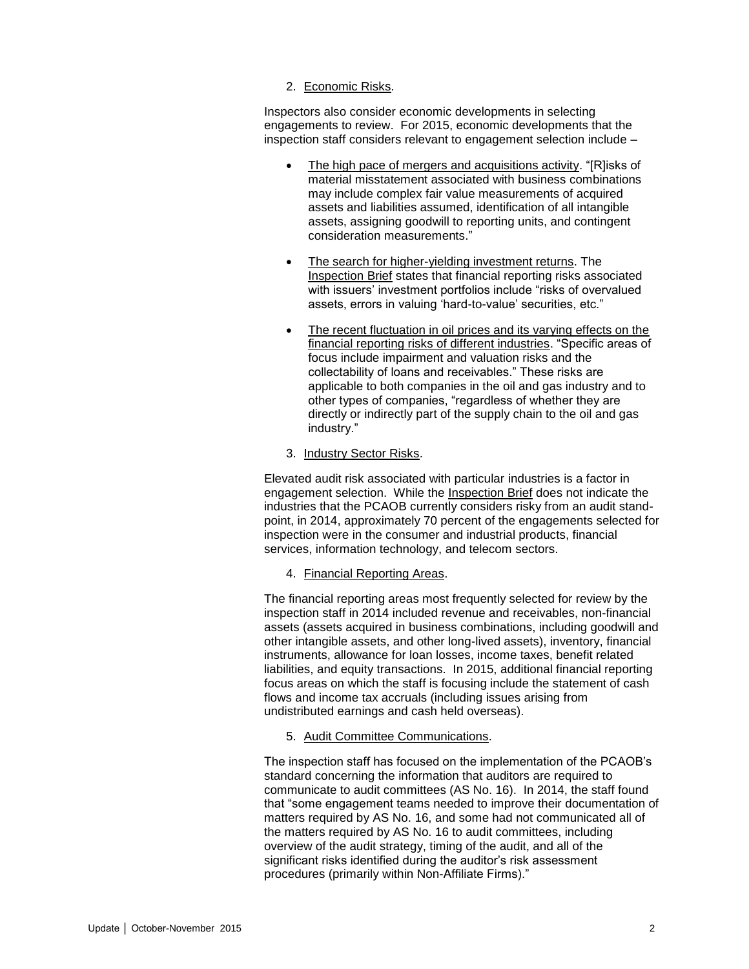#### 2. Economic Risks.

Inspectors also consider economic developments in selecting engagements to review. For 2015, economic developments that the inspection staff considers relevant to engagement selection include –

- The high pace of mergers and acquisitions activity. "[R]isks of material misstatement associated with business combinations may include complex fair value measurements of acquired assets and liabilities assumed, identification of all intangible assets, assigning goodwill to reporting units, and contingent consideration measurements."
- The search for higher-yielding investment returns. The Inspection Brief states that financial reporting risks associated with issuers' investment portfolios include "risks of overvalued assets, errors in valuing 'hard-to-value' securities, etc."
- The recent fluctuation in oil prices and its varying effects on the financial reporting risks of different industries. "Specific areas of focus include impairment and valuation risks and the collectability of loans and receivables." These risks are applicable to both companies in the oil and gas industry and to other types of companies, "regardless of whether they are directly or indirectly part of the supply chain to the oil and gas industry."

#### 3. Industry Sector Risks.

Elevated audit risk associated with particular industries is a factor in engagement selection. While the Inspection Brief does not indicate the industries that the PCAOB currently considers risky from an audit standpoint, in 2014, approximately 70 percent of the engagements selected for inspection were in the consumer and industrial products, financial services, information technology, and telecom sectors.

#### 4. Financial Reporting Areas.

The financial reporting areas most frequently selected for review by the inspection staff in 2014 included revenue and receivables, non-financial assets (assets acquired in business combinations, including goodwill and other intangible assets, and other long-lived assets), inventory, financial instruments, allowance for loan losses, income taxes, benefit related liabilities, and equity transactions. In 2015, additional financial reporting focus areas on which the staff is focusing include the statement of cash flows and income tax accruals (including issues arising from undistributed earnings and cash held overseas).

#### 5. Audit Committee Communications.

The inspection staff has focused on the implementation of the PCAOB's standard concerning the information that auditors are required to communicate to audit committees (AS No. 16). In 2014, the staff found that "some engagement teams needed to improve their documentation of matters required by AS No. 16, and some had not communicated all of the matters required by AS No. 16 to audit committees, including overview of the audit strategy, timing of the audit, and all of the significant risks identified during the auditor's risk assessment procedures (primarily within Non-Affiliate Firms)."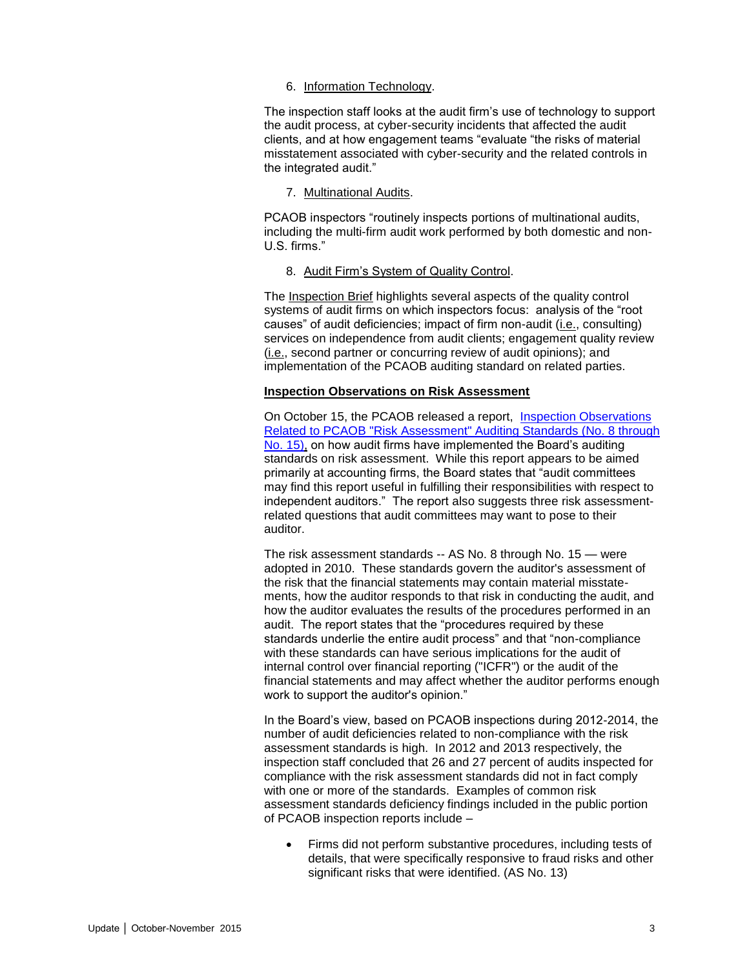#### 6. Information Technology.

The inspection staff looks at the audit firm's use of technology to support the audit process, at cyber-security incidents that affected the audit clients, and at how engagement teams "evaluate "the risks of material misstatement associated with cyber-security and the related controls in the integrated audit."

#### 7. Multinational Audits.

PCAOB inspectors "routinely inspects portions of multinational audits, including the multi-firm audit work performed by both domestic and non-U.S. firms."

#### 8. Audit Firm's System of Quality Control.

The Inspection Brief highlights several aspects of the quality control systems of audit firms on which inspectors focus: analysis of the "root causes" of audit deficiencies; impact of firm non-audit (i.e., consulting) services on independence from audit clients; engagement quality review (i.e., second partner or concurring review of audit opinions); and implementation of the PCAOB auditing standard on related parties.

#### **Inspection Observations on Risk Assessment**

On October 15, the PCAOB released a report, [Inspection Observations](http://pcaobus.org/Inspections/Documents/Risk-Assessment-Standards-Inspections.pdf)  [Related to PCAOB "Risk Assessment" Auditing Standards \(No. 8 through](http://pcaobus.org/Inspections/Documents/Risk-Assessment-Standards-Inspections.pdf)  [No. 15\),](http://pcaobus.org/Inspections/Documents/Risk-Assessment-Standards-Inspections.pdf) on how audit firms have implemented the Board's auditing standards on risk assessment. While this report appears to be aimed primarily at accounting firms, the Board states that "audit committees may find this report useful in fulfilling their responsibilities with respect to independent auditors." The report also suggests three risk assessmentrelated questions that audit committees may want to pose to their auditor.

The risk assessment standards -- AS No. 8 through No. 15 — were adopted in 2010. These standards govern the auditor's assessment of the risk that the financial statements may contain material misstatements, how the auditor responds to that risk in conducting the audit, and how the auditor evaluates the results of the procedures performed in an audit. The report states that the "procedures required by these standards underlie the entire audit process" and that "non-compliance with these standards can have serious implications for the audit of internal control over financial reporting ("ICFR") or the audit of the financial statements and may affect whether the auditor performs enough work to support the auditor's opinion."

In the Board's view, based on PCAOB inspections during 2012-2014, the number of audit deficiencies related to non-compliance with the risk assessment standards is high. In 2012 and 2013 respectively, the inspection staff concluded that 26 and 27 percent of audits inspected for compliance with the risk assessment standards did not in fact comply with one or more of the standards. Examples of common risk assessment standards deficiency findings included in the public portion of PCAOB inspection reports include –

 Firms did not perform substantive procedures, including tests of details, that were specifically responsive to fraud risks and other significant risks that were identified. (AS No. 13)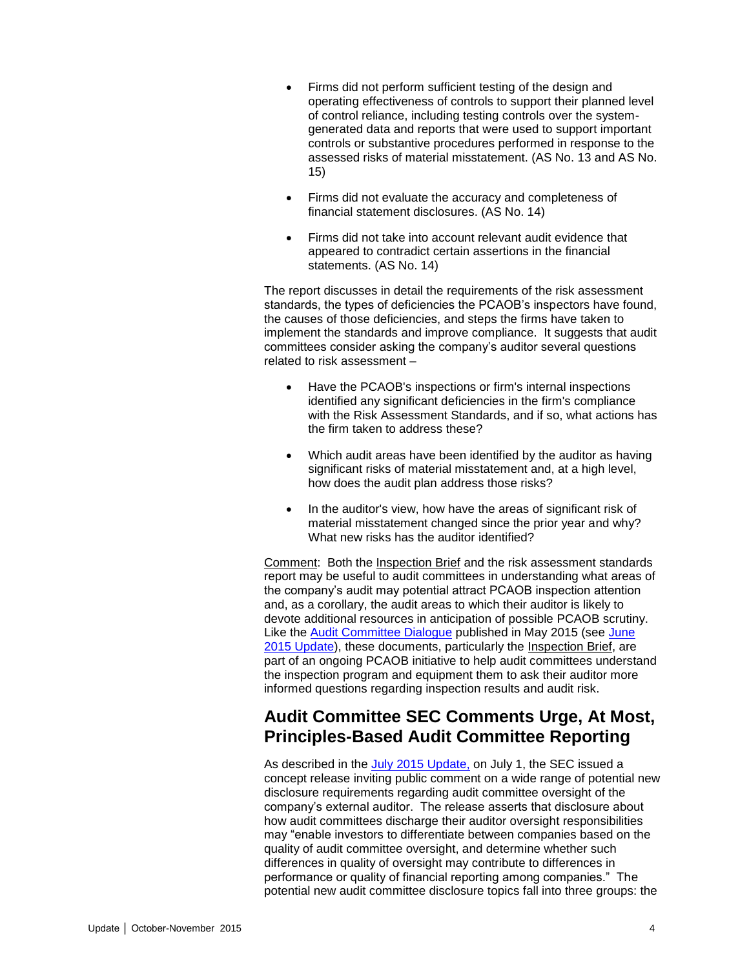- Firms did not perform sufficient testing of the design and operating effectiveness of controls to support their planned level of control reliance, including testing controls over the systemgenerated data and reports that were used to support important controls or substantive procedures performed in response to the assessed risks of material misstatement. (AS No. 13 and AS No. 15)
- Firms did not evaluate the accuracy and completeness of financial statement disclosures. (AS No. 14)
- Firms did not take into account relevant audit evidence that appeared to contradict certain assertions in the financial statements. (AS No. 14)

The report discusses in detail the requirements of the risk assessment standards, the types of deficiencies the PCAOB's inspectors have found, the causes of those deficiencies, and steps the firms have taken to implement the standards and improve compliance. It suggests that audit committees consider asking the company's auditor several questions related to risk assessment –

- Have the PCAOB's inspections or firm's internal inspections identified any significant deficiencies in the firm's compliance with the Risk Assessment Standards, and if so, what actions has the firm taken to address these?
- Which audit areas have been identified by the auditor as having significant risks of material misstatement and, at a high level, how does the audit plan address those risks?
- In the auditor's view, how have the areas of significant risk of material misstatement changed since the prior year and why? What new risks has the auditor identified?

Comment: Both the Inspection Brief and the risk assessment standards report may be useful to audit committees in understanding what areas of the company's audit may potential attract PCAOB inspection attention and, as a corollary, the audit areas to which their auditor is likely to devote additional resources in anticipation of possible PCAOB scrutiny. Like the [Audit Committee Dialogue](http://pcaobus.org/sites/digitalpublications/Pages/auditcommittees.aspx) published in May 2015 (see [June](http://www.bakermckenzie.com/files/Publication/934ae90a-cdff-4209-a4b8-789cd7cd4eba/Presentation/PublicationAttachment/0c294dc4-983d-4237-bf23-836563216052/nl_bf_auditcommitteeupdate_jun15.pdf)  [2015 Update\)](http://www.bakermckenzie.com/files/Publication/934ae90a-cdff-4209-a4b8-789cd7cd4eba/Presentation/PublicationAttachment/0c294dc4-983d-4237-bf23-836563216052/nl_bf_auditcommitteeupdate_jun15.pdf), these documents, particularly the Inspection Brief, are part of an ongoing PCAOB initiative to help audit committees understand the inspection program and equipment them to ask their auditor more informed questions regarding inspection results and audit risk.

### <span id="page-3-0"></span>**Audit Committee SEC Comments Urge, At Most, Principles-Based Audit Committee Reporting**

As described in the [July 2015 Update,](http://www.bakermckenzie.com/files/Uploads/Documents/Publications/NA/nl_washingtondc_auditupdate22_jul15.pdf) on July 1, the SEC issued a concept release inviting public comment on a wide range of potential new disclosure requirements regarding audit committee oversight of the company's external auditor. The release asserts that disclosure about how audit committees discharge their auditor oversight responsibilities may "enable investors to differentiate between companies based on the quality of audit committee oversight, and determine whether such differences in quality of oversight may contribute to differences in performance or quality of financial reporting among companies." The potential new audit committee disclosure topics fall into three groups: the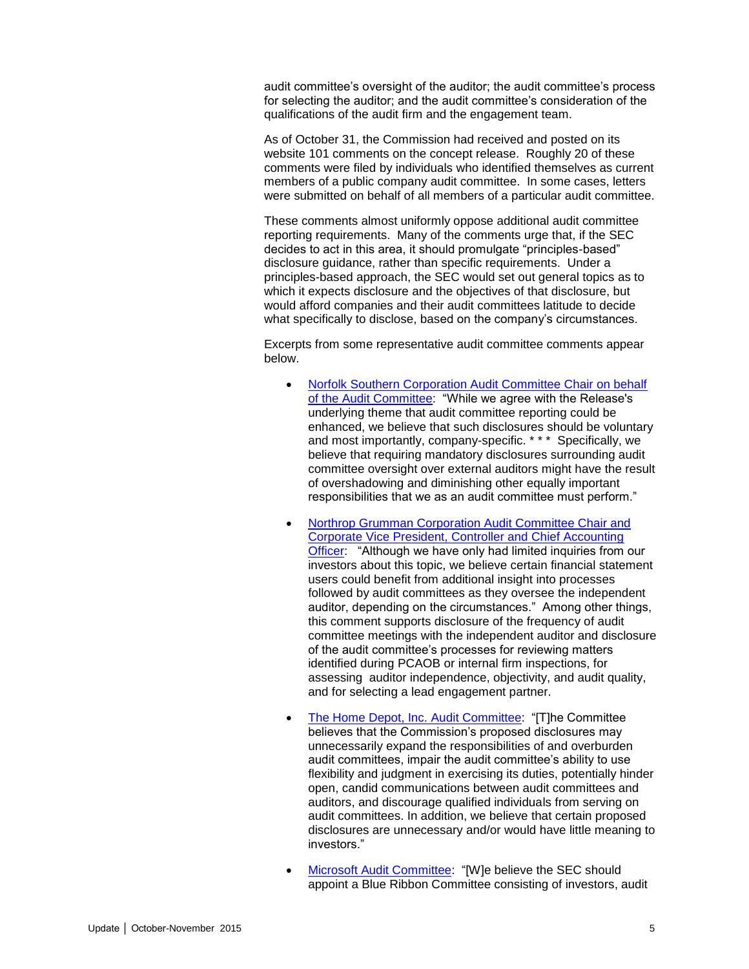audit committee's oversight of the auditor; the audit committee's process for selecting the auditor; and the audit committee's consideration of the qualifications of the audit firm and the engagement team.

As of October 31, the Commission had received and posted on its website 101 comments on the concept release. Roughly 20 of these comments were filed by individuals who identified themselves as current members of a public company audit committee. In some cases, letters were submitted on behalf of all members of a particular audit committee.

These comments almost uniformly oppose additional audit committee reporting requirements. Many of the comments urge that, if the SEC decides to act in this area, it should promulgate "principles-based" disclosure guidance, rather than specific requirements. Under a principles-based approach, the SEC would set out general topics as to which it expects disclosure and the objectives of that disclosure, but would afford companies and their audit committees latitude to decide what specifically to disclose, based on the company's circumstances.

Excerpts from some representative audit committee comments appear below.

- [Norfolk Southern Corporation Audit Committee Chair on behalf](http://www.sec.gov/comments/s7-13-15/s71315-100.pdf)  [of the Audit Committee:](http://www.sec.gov/comments/s7-13-15/s71315-100.pdf) "While we agree with the Release's underlying theme that audit committee reporting could be enhanced, we believe that such disclosures should be voluntary and most importantly, company-specific. \* \* \* Specifically, we believe that requiring mandatory disclosures surrounding audit committee oversight over external auditors might have the result of overshadowing and diminishing other equally important responsibilities that we as an audit committee must perform."
- [Northrop Grumman Corporation Audit Committee Chair and](http://www.sec.gov/comments/s7-13-15/s71315-94.pdf)  [Corporate Vice President, Controller and Chief Accounting](http://www.sec.gov/comments/s7-13-15/s71315-94.pdf)  [Officer:](http://www.sec.gov/comments/s7-13-15/s71315-94.pdf) "Although we have only had limited inquiries from our investors about this topic, we believe certain financial statement users could benefit from additional insight into processes followed by audit committees as they oversee the independent auditor, depending on the circumstances." Among other things, this comment supports disclosure of the frequency of audit committee meetings with the independent auditor and disclosure of the audit committee's processes for reviewing matters identified during PCAOB or internal firm inspections, for assessing auditor independence, objectivity, and audit quality, and for selecting a lead engagement partner.
- [The Home Depot, Inc. Audit Committee:](http://www.sec.gov/comments/s7-13-15/s71315-92.pdf) "[T]he Committee believes that the Commission's proposed disclosures may unnecessarily expand the responsibilities of and overburden audit committees, impair the audit committee's ability to use flexibility and judgment in exercising its duties, potentially hinder open, candid communications between audit committees and auditors, and discourage qualified individuals from serving on audit committees. In addition, we believe that certain proposed disclosures are unnecessary and/or would have little meaning to investors."
- [Microsoft Audit Committee:](http://www.sec.gov/comments/s7-13-15/s71315-91.pdf) "[W]e believe the SEC should appoint a Blue Ribbon Committee consisting of investors, audit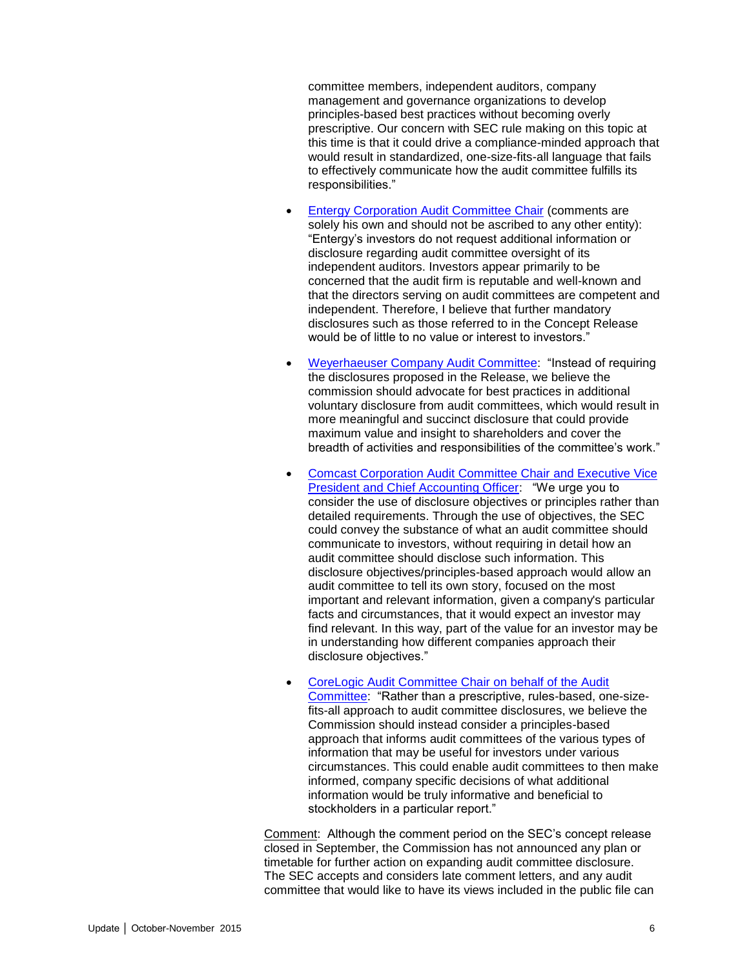committee members, independent auditors, company management and governance organizations to develop principles-based best practices without becoming overly prescriptive. Our concern with SEC rule making on this topic at this time is that it could drive a compliance-minded approach that would result in standardized, one-size-fits-all language that fails to effectively communicate how the audit committee fulfills its responsibilities."

- [Entergy Corporation Audit Committee Chair](http://www.sec.gov/comments/s7-13-15/s71315-81.pdf) (comments are solely his own and should not be ascribed to any other entity): "Entergy's investors do not request additional information or disclosure regarding audit committee oversight of its independent auditors. Investors appear primarily to be concerned that the audit firm is reputable and well-known and that the directors serving on audit committees are competent and independent. Therefore, I believe that further mandatory disclosures such as those referred to in the Concept Release would be of little to no value or interest to investors."
- [Weyerhaeuser Company Audit Committee:](http://www.sec.gov/comments/s7-13-15/s71315-68.pdf) "Instead of requiring the disclosures proposed in the Release, we believe the commission should advocate for best practices in additional voluntary disclosure from audit committees, which would result in more meaningful and succinct disclosure that could provide maximum value and insight to shareholders and cover the breadth of activities and responsibilities of the committee's work."
- [Comcast Corporation Audit Committee Chair](http://www.sec.gov/comments/s7-13-15/s71315-23.pdf) and Executive Vice [President and Chief Accounting Officer:](http://www.sec.gov/comments/s7-13-15/s71315-23.pdf) "We urge you to consider the use of disclosure objectives or principles rather than detailed requirements. Through the use of objectives, the SEC could convey the substance of what an audit committee should communicate to investors, without requiring in detail how an audit committee should disclose such information. This disclosure objectives/principles-based approach would allow an audit committee to tell its own story, focused on the most important and relevant information, given a company's particular facts and circumstances, that it would expect an investor may find relevant. In this way, part of the value for an investor may be in understanding how different companies approach their disclosure objectives."
- [CoreLogic Audit Committee Chair on behalf of the Audit](http://www.sec.gov/comments/s7-13-15/s71315-28.pdf)  [Committee:](http://www.sec.gov/comments/s7-13-15/s71315-28.pdf) "Rather than a prescriptive, rules-based, one-sizefits-all approach to audit committee disclosures, we believe the Commission should instead consider a principles-based approach that informs audit committees of the various types of information that may be useful for investors under various circumstances. This could enable audit committees to then make informed, company specific decisions of what additional information would be truly informative and beneficial to stockholders in a particular report."

Comment: Although the comment period on the SEC's concept release closed in September, the Commission has not announced any plan or timetable for further action on expanding audit committee disclosure. The SEC accepts and considers late comment letters, and any audit committee that would like to have its views included in the public file can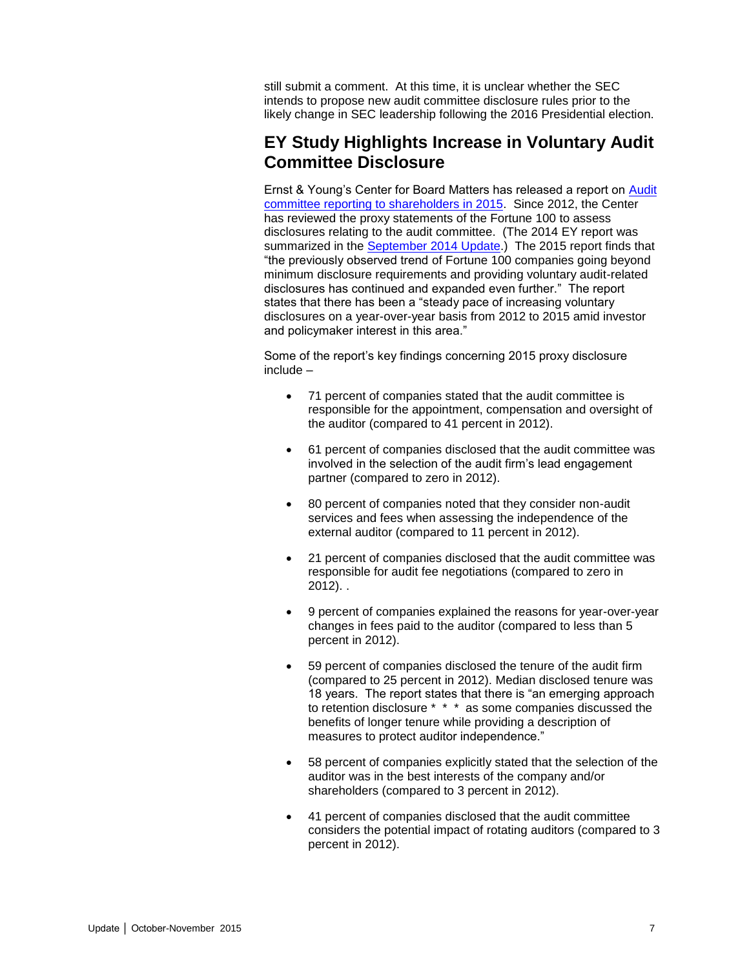still submit a comment. At this time, it is unclear whether the SEC intends to propose new audit committee disclosure rules prior to the likely change in SEC leadership following the 2016 Presidential election.

### <span id="page-6-0"></span>**EY Study Highlights Increase in Voluntary Audit Committee Disclosure**

Ernst & Young's Center for Board Matters has released a report on [Audit](http://www.ey.com/Publication/vwLUAssets/EY-audit-committee-reporting-to-shareholders-in-2015/$FILE/EY-audit-committee-reporting-to-shareholders-in-2015.pdf)  [committee reporting to shareholders in 2015.](http://www.ey.com/Publication/vwLUAssets/EY-audit-committee-reporting-to-shareholders-in-2015/$FILE/EY-audit-committee-reporting-to-shareholders-in-2015.pdf) Since 2012, the Center has reviewed the proxy statements of the Fortune 100 to assess disclosures relating to the audit committee. (The 2014 EY report was summarized in the [September 2014 Update.](http://www.bakermckenzie.com/files/Publication/d939056c-b51c-4430-a5d4-58e8e06a2f38/Presentation/PublicationAttachment/3c065756-399c-4b98-9579-5d718a403776/al_bf_auditcommitteeupdate_sep14.pdf)) The 2015 report finds that "the previously observed trend of Fortune 100 companies going beyond minimum disclosure requirements and providing voluntary audit-related disclosures has continued and expanded even further." The report states that there has been a "steady pace of increasing voluntary disclosures on a year-over-year basis from 2012 to 2015 amid investor and policymaker interest in this area."

Some of the report's key findings concerning 2015 proxy disclosure include –

- 71 percent of companies stated that the audit committee is responsible for the appointment, compensation and oversight of the auditor (compared to 41 percent in 2012).
- 61 percent of companies disclosed that the audit committee was involved in the selection of the audit firm's lead engagement partner (compared to zero in 2012).
- 80 percent of companies noted that they consider non-audit services and fees when assessing the independence of the external auditor (compared to 11 percent in 2012).
- 21 percent of companies disclosed that the audit committee was responsible for audit fee negotiations (compared to zero in 2012). .
- 9 percent of companies explained the reasons for year-over-year changes in fees paid to the auditor (compared to less than 5 percent in 2012).
- 59 percent of companies disclosed the tenure of the audit firm (compared to 25 percent in 2012). Median disclosed tenure was 18 years. The report states that there is "an emerging approach to retention disclosure \* \* \* as some companies discussed the benefits of longer tenure while providing a description of measures to protect auditor independence."
- 58 percent of companies explicitly stated that the selection of the auditor was in the best interests of the company and/or shareholders (compared to 3 percent in 2012).
- 41 percent of companies disclosed that the audit committee considers the potential impact of rotating auditors (compared to 3 percent in 2012).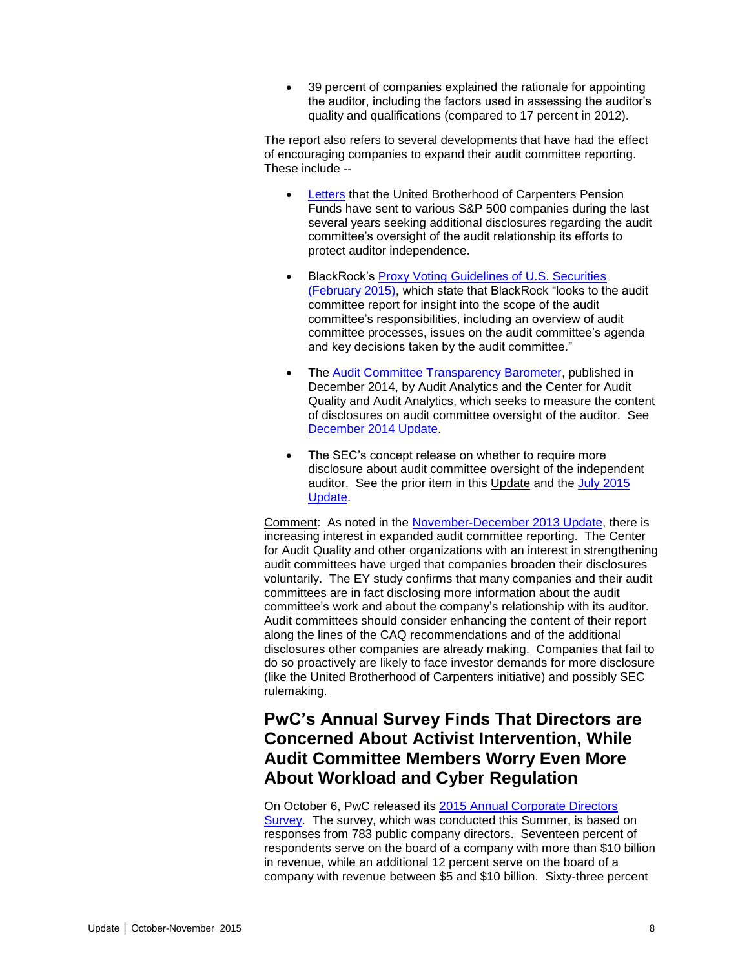39 percent of companies explained the rationale for appointing the auditor, including the factors used in assessing the auditor's quality and qualifications (compared to 17 percent in 2012).

The report also refers to several developments that have had the effect of encouraging companies to expand their audit committee reporting. These include --

- [Letters](https://www.carpenters.org/Libraries/Corporate_Affairs/DOC_4_2014_Sample_AI_Letter.sflb.ashx) that the United Brotherhood of Carpenters Pension Funds have sent to various S&P 500 companies during the last several years seeking additional disclosures regarding the audit committee's oversight of the audit relationship its efforts to protect auditor independence.
- BlackRock's [Proxy Voting Guidelines of U.S. Securities](http://www.blackrock.com/corporate/en-us/literature/fact-sheet/blk-responsible-investment-guidelines-us.pdf)  [\(February 2015\),](http://www.blackrock.com/corporate/en-us/literature/fact-sheet/blk-responsible-investment-guidelines-us.pdf) which state that BlackRock "looks to the audit committee report for insight into the scope of the audit committee's responsibilities, including an overview of audit committee processes, issues on the audit committee's agenda and key decisions taken by the audit committee."
- The [Audit Committee Transparency Barometer,](http://www.thecaq.org/docs/reports-and-publications/2014-audit-committee-transparency-barometer.pdf?sfvrsn=2) published in December 2014, by Audit Analytics and the Center for Audit Quality and Audit Analytics, which seeks to measure the content of disclosures on audit committee oversight of the auditor. See [December 2014 Update.](http://www.bakermckenzie.com/files/Publication/80219f61-774e-4406-904c-9bf6d4e95f34/Presentation/PublicationAttachment/f455b247-a3fb-42f7-85df-a1bafb8724b6/al_bf_auditcommitteeupdate_dec14.pdf)
- The SEC's concept release on whether to require more disclosure about audit committee oversight of the independent auditor. See the prior item in this Update and the [July 2015](http://www.bakermckenzie.com/files/Uploads/Documents/Publications/NA/nl_washingtondc_auditupdate22_jul15.pdf)  [Update.](http://www.bakermckenzie.com/files/Uploads/Documents/Publications/NA/nl_washingtondc_auditupdate22_jul15.pdf)

Comment: As noted in the [November-December 2013 Update,](http://www.bakermckenzie.com/files/Publication/02b074a6-aecb-464f-835e-4122d634be10/Presentation/PublicationAttachment/0f2ce890-e475-42ea-be94-4331acac30d9/al_na_auditcommitteeupdate_novdec13.pdf) there is increasing interest in expanded audit committee reporting. The Center for Audit Quality and other organizations with an interest in strengthening audit committees have urged that companies broaden their disclosures voluntarily. The EY study confirms that many companies and their audit committees are in fact disclosing more information about the audit committee's work and about the company's relationship with its auditor. Audit committees should consider enhancing the content of their report along the lines of the CAQ recommendations and of the additional disclosures other companies are already making. Companies that fail to do so proactively are likely to face investor demands for more disclosure (like the United Brotherhood of Carpenters initiative) and possibly SEC rulemaking.

### <span id="page-7-0"></span>**PwC's Annual Survey Finds That Directors are Concerned About Activist Intervention, While Audit Committee Members Worry Even More About Workload and Cyber Regulation**

On October 6, PwC released its [2015 Annual Corporate Directors](http://www.pwc.com/us/ACDS2015)  [Survey.](http://www.pwc.com/us/ACDS2015) The survey, which was conducted this Summer, is based on responses from 783 public company directors. Seventeen percent of respondents serve on the board of a company with more than \$10 billion in revenue, while an additional 12 percent serve on the board of a company with revenue between \$5 and \$10 billion. Sixty-three percent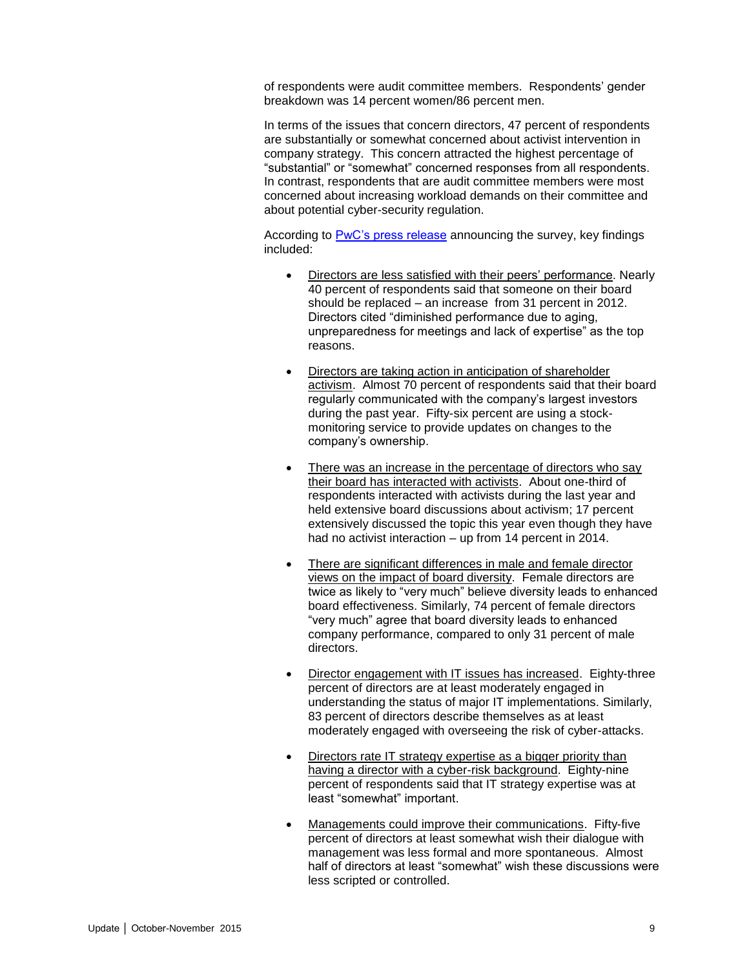of respondents were audit committee members. Respondents' gender breakdown was 14 percent women/86 percent men.

In terms of the issues that concern directors, 47 percent of respondents are substantially or somewhat concerned about activist intervention in company strategy. This concern attracted the highest percentage of "substantial" or "somewhat" concerned responses from all respondents. In contrast, respondents that are audit committee members were most concerned about increasing workload demands on their committee and about potential cyber-security regulation.

According to [PwC's press release](http://www.pwc.com/us/en/press-releases/2015/pwc-annual-corporate-directors-survey-2015-press-release.html) announcing the survey, key findings included:

- Directors are less satisfied with their peers' performance. Nearly 40 percent of respondents said that someone on their board should be replaced – an increase from 31 percent in 2012. Directors cited "diminished performance due to aging, unpreparedness for meetings and lack of expertise" as the top reasons.
- Directors are taking action in anticipation of shareholder activism. Almost 70 percent of respondents said that their board regularly communicated with the company's largest investors during the past year. Fifty-six percent are using a stockmonitoring service to provide updates on changes to the company's ownership.
- There was an increase in the percentage of directors who say their board has interacted with activists. About one-third of respondents interacted with activists during the last year and held extensive board discussions about activism; 17 percent extensively discussed the topic this year even though they have had no activist interaction – up from 14 percent in 2014.
- There are significant differences in male and female director views on the impact of board diversity. Female directors are twice as likely to "very much" believe diversity leads to enhanced board effectiveness. Similarly, 74 percent of female directors "very much" agree that board diversity leads to enhanced company performance, compared to only 31 percent of male directors.
- Director engagement with IT issues has increased. Eighty-three percent of directors are at least moderately engaged in understanding the status of major IT implementations. Similarly, 83 percent of directors describe themselves as at least moderately engaged with overseeing the risk of cyber-attacks.
- Directors rate IT strategy expertise as a bigger priority than having a director with a cyber-risk background. Eighty-nine percent of respondents said that IT strategy expertise was at least "somewhat" important.
- Managements could improve their communications. Fifty-five percent of directors at least somewhat wish their dialogue with management was less formal and more spontaneous. Almost half of directors at least "somewhat" wish these discussions were less scripted or controlled.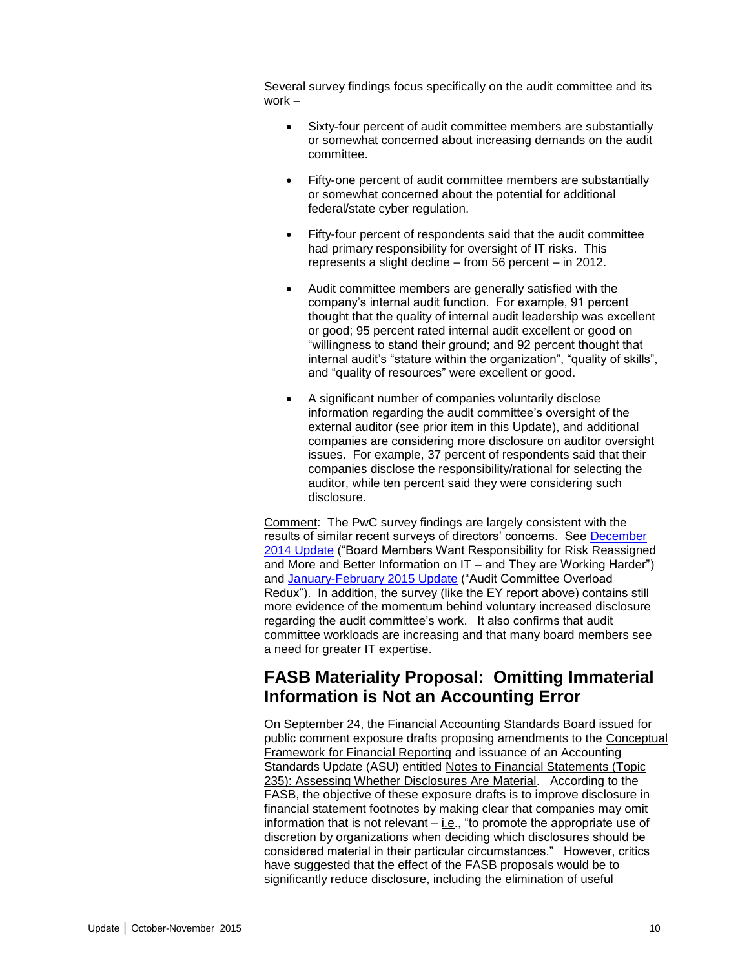Several survey findings focus specifically on the audit committee and its work –

- Sixty-four percent of audit committee members are substantially or somewhat concerned about increasing demands on the audit committee.
- Fifty-one percent of audit committee members are substantially or somewhat concerned about the potential for additional federal/state cyber regulation.
- Fifty-four percent of respondents said that the audit committee had primary responsibility for oversight of IT risks. This represents a slight decline – from 56 percent – in 2012.
- Audit committee members are generally satisfied with the company's internal audit function. For example, 91 percent thought that the quality of internal audit leadership was excellent or good; 95 percent rated internal audit excellent or good on "willingness to stand their ground; and 92 percent thought that internal audit's "stature within the organization", "quality of skills", and "quality of resources" were excellent or good.
- A significant number of companies voluntarily disclose information regarding the audit committee's oversight of the external auditor (see prior item in this Update), and additional companies are considering more disclosure on auditor oversight issues. For example, 37 percent of respondents said that their companies disclose the responsibility/rational for selecting the auditor, while ten percent said they were considering such disclosure.

Comment: The PwC survey findings are largely consistent with the results of similar recent surveys of directors' concerns. See [December](http://www.bakermckenzie.com/files/Publication/80219f61-774e-4406-904c-9bf6d4e95f34/Presentation/PublicationAttachment/f455b247-a3fb-42f7-85df-a1bafb8724b6/al_bf_auditcommitteeupdate_dec14.pdf)  [2014 Update](http://www.bakermckenzie.com/files/Publication/80219f61-774e-4406-904c-9bf6d4e95f34/Presentation/PublicationAttachment/f455b247-a3fb-42f7-85df-a1bafb8724b6/al_bf_auditcommitteeupdate_dec14.pdf) ("Board Members Want Responsibility for Risk Reassigned and More and Better Information on IT – and They are Working Harder") and [January-February 2015 Update](http://www.bakermckenzie.com/files/Publication/10b8c48a-9c7d-4571-9e0c-cda46c31bfd4/Presentation/PublicationAttachment/190c77e7-ce8a-4781-a747-d4ecdf36f4bc/nl_washingtondc_auditcommitteeupdate_jan15.pdf) ("Audit Committee Overload Redux"). In addition, the survey (like the EY report above) contains still more evidence of the momentum behind voluntary increased disclosure regarding the audit committee's work. It also confirms that audit committee workloads are increasing and that many board members see a need for greater IT expertise.

### <span id="page-9-0"></span>**FASB Materiality Proposal: Omitting Immaterial Information is Not an Accounting Error**

On September 24, the Financial Accounting Standards Board issued for public comment exposure drafts proposing amendments to the Conceptual Framework for Financial Reporting and issuance of an Accounting Standards Update (ASU) entitled Notes to Financial Statements (Topic 235): Assessing Whether Disclosures Are Material. According to the FASB, the objective of these exposure drafts is to improve disclosure in financial statement footnotes by making clear that companies may omit information that is not relevant – i.e., "to promote the appropriate use of discretion by organizations when deciding which disclosures should be considered material in their particular circumstances." However, critics have suggested that the effect of the FASB proposals would be to significantly reduce disclosure, including the elimination of useful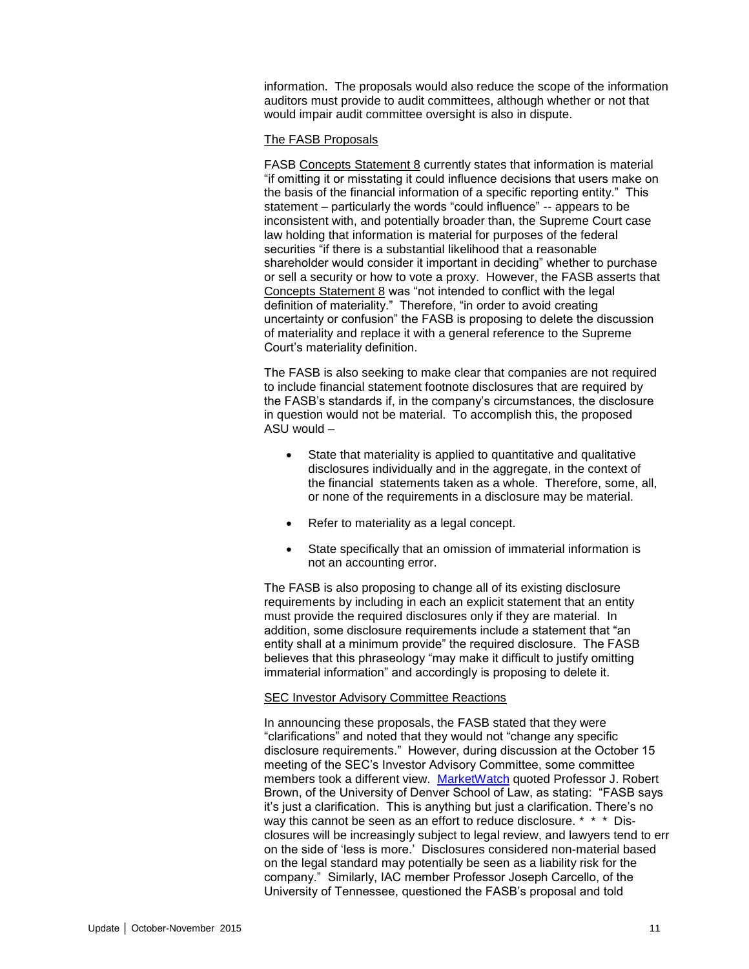information. The proposals would also reduce the scope of the information auditors must provide to audit committees, although whether or not that would impair audit committee oversight is also in dispute.

#### The FASB Proposals

FASB Concepts Statement 8 currently states that information is material "if omitting it or misstating it could influence decisions that users make on the basis of the financial information of a specific reporting entity." This statement – particularly the words "could influence" -- appears to be inconsistent with, and potentially broader than, the Supreme Court case law holding that information is material for purposes of the federal securities "if there is a substantial likelihood that a reasonable shareholder would consider it important in deciding" whether to purchase or sell a security or how to vote a proxy. However, the FASB asserts that Concepts Statement 8 was "not intended to conflict with the legal definition of materiality." Therefore, "in order to avoid creating uncertainty or confusion" the FASB is proposing to delete the discussion of materiality and replace it with a general reference to the Supreme Court's materiality definition.

The FASB is also seeking to make clear that companies are not required to include financial statement footnote disclosures that are required by the FASB's standards if, in the company's circumstances, the disclosure in question would not be material. To accomplish this, the proposed  $ASU$  would  $-$ 

- State that materiality is applied to quantitative and qualitative disclosures individually and in the aggregate, in the context of the financial statements taken as a whole. Therefore, some, all, or none of the requirements in a disclosure may be material.
- Refer to materiality as a legal concept.
- State specifically that an omission of immaterial information is not an accounting error.

The FASB is also proposing to change all of its existing disclosure requirements by including in each an explicit statement that an entity must provide the required disclosures only if they are material. In addition, some disclosure requirements include a statement that "an entity shall at a minimum provide" the required disclosure. The FASB believes that this phraseology "may make it difficult to justify omitting immaterial information" and accordingly is proposing to delete it.

#### SEC Investor Advisory Committee Reactions

In announcing these proposals, the FASB stated that they were "clarifications" and noted that they would not "change any specific disclosure requirements." However, during discussion at the October 15 meeting of the SEC's Investor Advisory Committee, some committee members took a different view. [MarketWatch](https://www.morningstar.com/news/market-watch/TDJNMW_20151023391/update-investor-advocates-protest-proposals-limiting-disclosure.print.html) quoted Professor J. Robert Brown, of the University of Denver School of Law, as stating: "FASB says it's just a clarification. This is anything but just a clarification. There's no way this cannot be seen as an effort to reduce disclosure. \* \* \* Disclosures will be increasingly subject to legal review, and lawyers tend to err on the side of 'less is more.' Disclosures considered non-material based on the legal standard may potentially be seen as a liability risk for the company." Similarly, IAC member Professor Joseph Carcello, of the University of Tennessee, questioned the FASB's proposal and told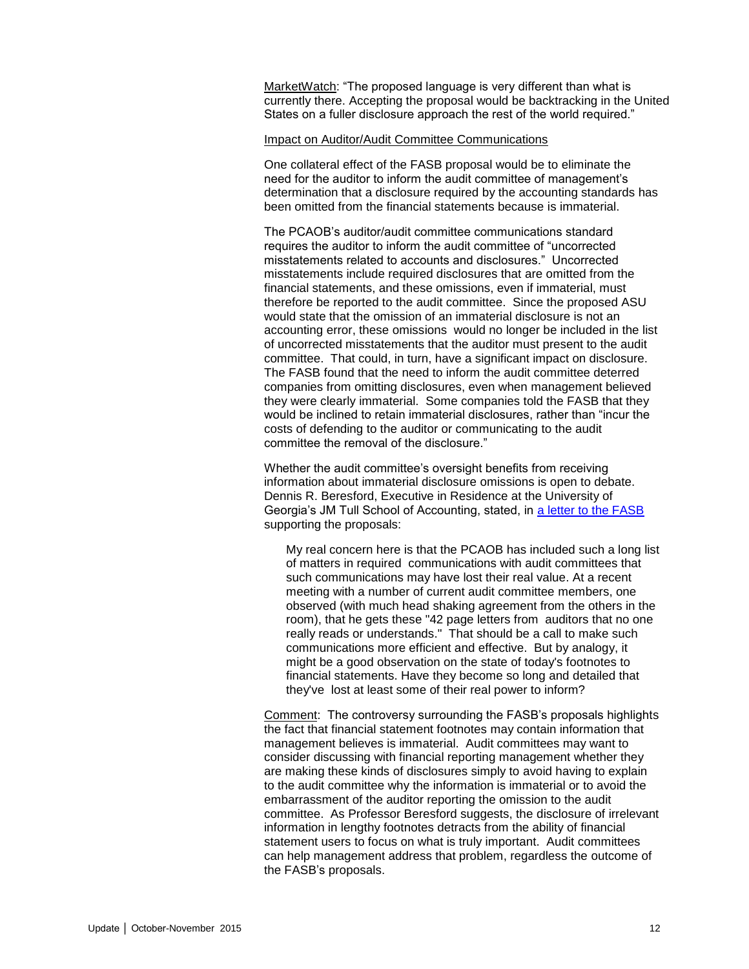MarketWatch: "The proposed language is very different than what is currently there. Accepting the proposal would be backtracking in the United States on a fuller disclosure approach the rest of the world required."

#### Impact on Auditor/Audit Committee Communications

One collateral effect of the FASB proposal would be to eliminate the need for the auditor to inform the audit committee of management's determination that a disclosure required by the accounting standards has been omitted from the financial statements because is immaterial.

The PCAOB's auditor/audit committee communications standard requires the auditor to inform the audit committee of "uncorrected misstatements related to accounts and disclosures." Uncorrected misstatements include required disclosures that are omitted from the financial statements, and these omissions, even if immaterial, must therefore be reported to the audit committee. Since the proposed ASU would state that the omission of an immaterial disclosure is not an accounting error, these omissions would no longer be included in the list of uncorrected misstatements that the auditor must present to the audit committee. That could, in turn, have a significant impact on disclosure. The FASB found that the need to inform the audit committee deterred companies from omitting disclosures, even when management believed they were clearly immaterial. Some companies told the FASB that they would be inclined to retain immaterial disclosures, rather than "incur the costs of defending to the auditor or communicating to the audit committee the removal of the disclosure."

Whether the audit committee's oversight benefits from receiving information about immaterial disclosure omissions is open to debate. Dennis R. Beresford, Executive in Residence at the University of Georgia's JM Tull School of Accounting, stated, in [a letter to the FASB](http://www.fasb.org/cs/BlobServer?blobkey=id&blobnocache=true&blobwhere=1175832092575&blobheader=application%2Fpdf&blobheadername2=Content-Length&blobheadername1=Content-Disposition&blobheadervalue2=704203&blobheadervalue1=filename%3DDISFR-M.ED.0007.DENNIS_R._BERESFORD.pdf&blobcol=urldata&blobtable=MungoBlobs) supporting the proposals:

My real concern here is that the PCAOB has included such a long list of matters in required communications with audit committees that such communications may have lost their real value. At a recent meeting with a number of current audit committee members, one observed (with much head shaking agreement from the others in the room), that he gets these "42 page letters from auditors that no one really reads or understands." That should be a call to make such communications more efficient and effective. But by analogy, it might be a good observation on the state of today's footnotes to financial statements. Have they become so long and detailed that they've lost at least some of their real power to inform?

Comment: The controversy surrounding the FASB's proposals highlights the fact that financial statement footnotes may contain information that management believes is immaterial. Audit committees may want to consider discussing with financial reporting management whether they are making these kinds of disclosures simply to avoid having to explain to the audit committee why the information is immaterial or to avoid the embarrassment of the auditor reporting the omission to the audit committee. As Professor Beresford suggests, the disclosure of irrelevant information in lengthy footnotes detracts from the ability of financial statement users to focus on what is truly important. Audit committees can help management address that problem, regardless the outcome of the FASB's proposals.